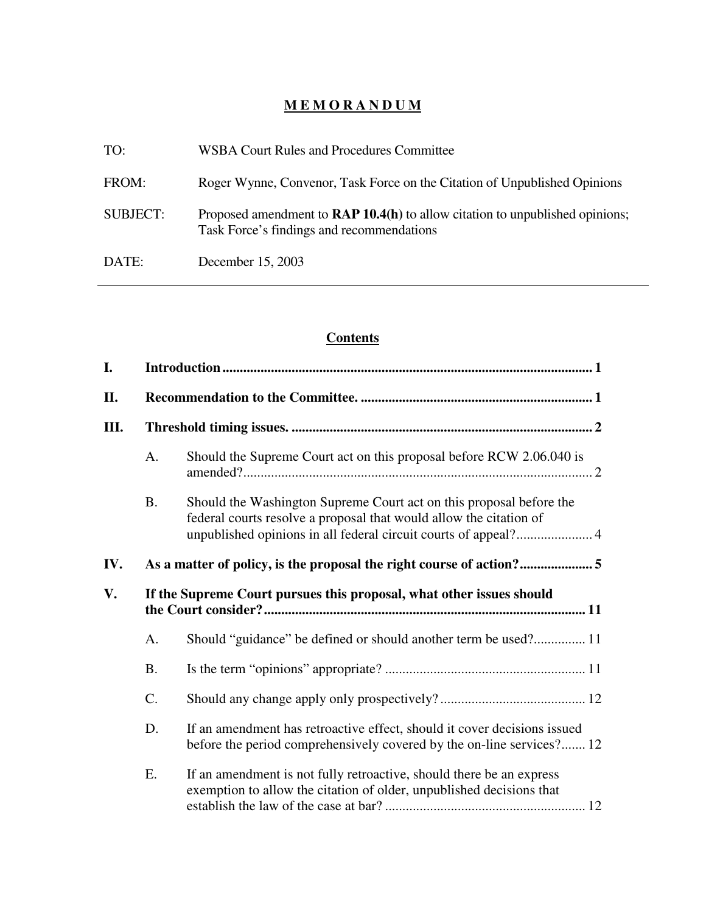# **M E M O R A N D U M**

| TO:             | <b>WSBA Court Rules and Procedures Committee</b>                                                                          |
|-----------------|---------------------------------------------------------------------------------------------------------------------------|
| FROM:           | Roger Wynne, Convenor, Task Force on the Citation of Unpublished Opinions                                                 |
| <b>SUBJECT:</b> | Proposed amendment to RAP 10.4(h) to allow citation to unpublished opinions;<br>Task Force's findings and recommendations |
| DATE:           | December 15, 2003                                                                                                         |

# **Contents**

| I.  |                                                                      |                                                                                                                                                   |  |  |
|-----|----------------------------------------------------------------------|---------------------------------------------------------------------------------------------------------------------------------------------------|--|--|
| II. |                                                                      |                                                                                                                                                   |  |  |
| Ш.  |                                                                      |                                                                                                                                                   |  |  |
|     | A.                                                                   | Should the Supreme Court act on this proposal before RCW 2.06.040 is                                                                              |  |  |
|     | <b>B.</b>                                                            | Should the Washington Supreme Court act on this proposal before the<br>federal courts resolve a proposal that would allow the citation of         |  |  |
| IV. |                                                                      |                                                                                                                                                   |  |  |
| V.  | If the Supreme Court pursues this proposal, what other issues should |                                                                                                                                                   |  |  |
|     | A.                                                                   | Should "guidance" be defined or should another term be used? 11                                                                                   |  |  |
|     | <b>B.</b>                                                            |                                                                                                                                                   |  |  |
|     | C.                                                                   |                                                                                                                                                   |  |  |
|     | D.                                                                   | If an amendment has retroactive effect, should it cover decisions issued<br>before the period comprehensively covered by the on-line services? 12 |  |  |
|     | E.                                                                   | If an amendment is not fully retroactive, should there be an express<br>exemption to allow the citation of older, unpublished decisions that      |  |  |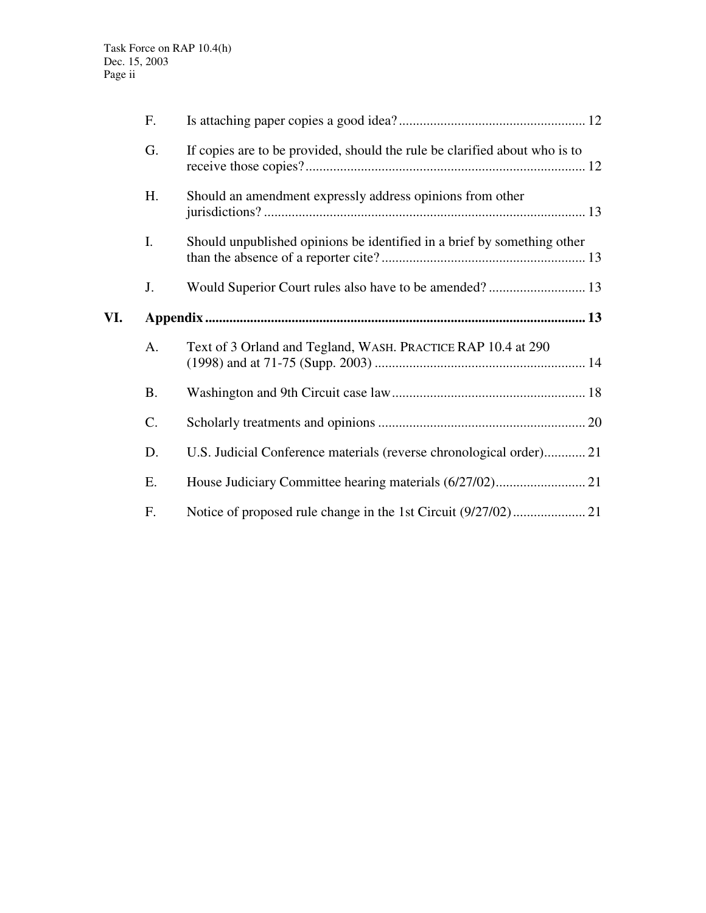|     | F.        |                                                                            |  |
|-----|-----------|----------------------------------------------------------------------------|--|
|     | G.        | If copies are to be provided, should the rule be clarified about who is to |  |
|     | H.        | Should an amendment expressly address opinions from other                  |  |
|     | I.        | Should unpublished opinions be identified in a brief by something other    |  |
|     | J.        |                                                                            |  |
| VI. |           |                                                                            |  |
|     | A.        | Text of 3 Orland and Tegland, WASH. PRACTICE RAP 10.4 at 290               |  |
|     |           |                                                                            |  |
|     | <b>B.</b> |                                                                            |  |
|     | C.        |                                                                            |  |
|     | D.        | U.S. Judicial Conference materials (reverse chronological order) 21        |  |
|     | Ε.        |                                                                            |  |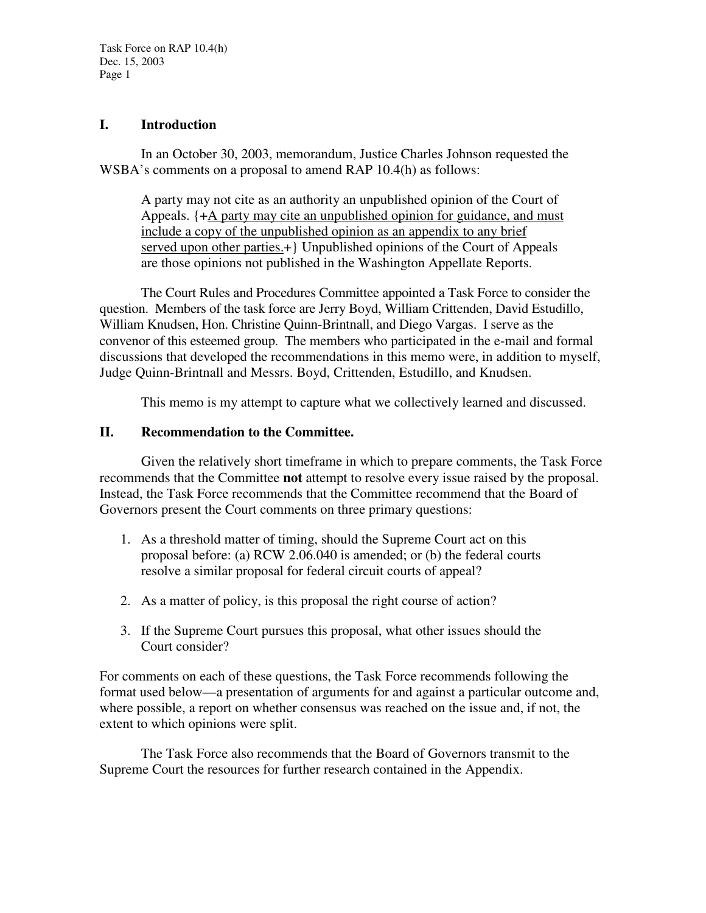Task Force on RAP 10.4(h) Dec. 15, 2003 Page 1

#### **I. Introduction**

In an October 30, 2003, memorandum, Justice Charles Johnson requested the WSBA's comments on a proposal to amend RAP 10.4(h) as follows:

A party may not cite as an authority an unpublished opinion of the Court of Appeals. {+A party may cite an unpublished opinion for guidance, and must include a copy of the unpublished opinion as an appendix to any brief served upon other parties.+} Unpublished opinions of the Court of Appeals are those opinions not published in the Washington Appellate Reports.

The Court Rules and Procedures Committee appointed a Task Force to consider the question. Members of the task force are Jerry Boyd, William Crittenden, David Estudillo, William Knudsen, Hon. Christine Quinn-Brintnall, and Diego Vargas. I serve as the convenor of this esteemed group. The members who participated in the e-mail and formal discussions that developed the recommendations in this memo were, in addition to myself, Judge Quinn-Brintnall and Messrs. Boyd, Crittenden, Estudillo, and Knudsen.

This memo is my attempt to capture what we collectively learned and discussed.

### **II. Recommendation to the Committee.**

Given the relatively short timeframe in which to prepare comments, the Task Force recommends that the Committee **not** attempt to resolve every issue raised by the proposal. Instead, the Task Force recommends that the Committee recommend that the Board of Governors present the Court comments on three primary questions:

- 1. As a threshold matter of timing, should the Supreme Court act on this proposal before: (a) RCW 2.06.040 is amended; or (b) the federal courts resolve a similar proposal for federal circuit courts of appeal?
- 2. As a matter of policy, is this proposal the right course of action?
- 3. If the Supreme Court pursues this proposal, what other issues should the Court consider?

For comments on each of these questions, the Task Force recommends following the format used below—a presentation of arguments for and against a particular outcome and, where possible, a report on whether consensus was reached on the issue and, if not, the extent to which opinions were split.

The Task Force also recommends that the Board of Governors transmit to the Supreme Court the resources for further research contained in the Appendix.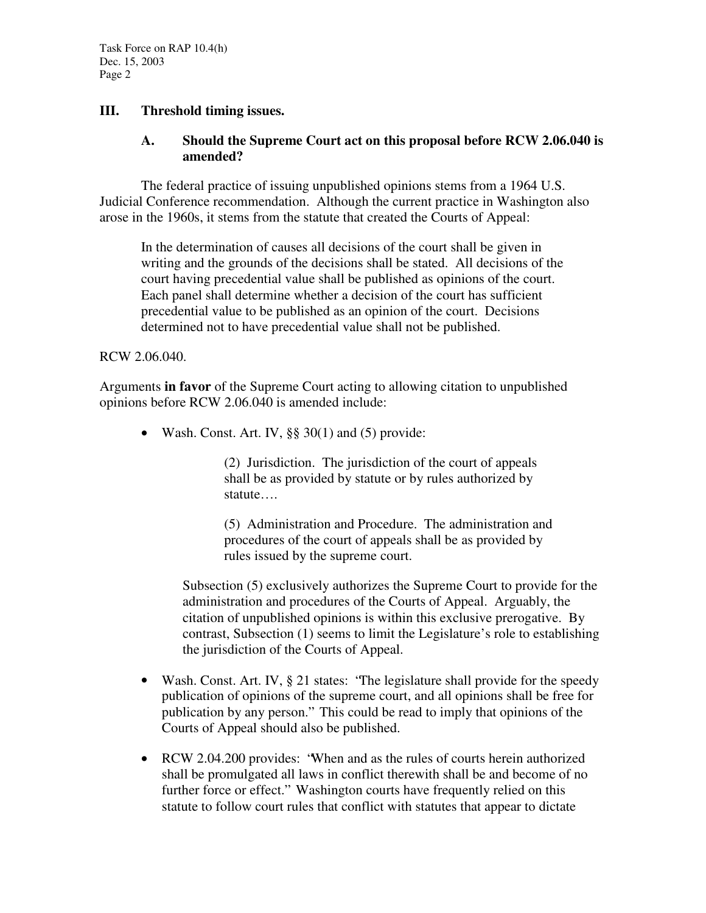## **III. Threshold timing issues.**

#### **A. Should the Supreme Court act on this proposal before RCW 2.06.040 is amended?**

The federal practice of issuing unpublished opinions stems from a 1964 U.S. Judicial Conference recommendation. Although the current practice in Washington also arose in the 1960s, it stems from the statute that created the Courts of Appeal:

In the determination of causes all decisions of the court shall be given in writing and the grounds of the decisions shall be stated. All decisions of the court having precedential value shall be published as opinions of the court. Each panel shall determine whether a decision of the court has sufficient precedential value to be published as an opinion of the court. Decisions determined not to have precedential value shall not be published.

#### RCW 2.06.040.

Arguments **in favor** of the Supreme Court acting to allowing citation to unpublished opinions before RCW 2.06.040 is amended include:

• Wash. Const. Art. IV,  $\S$ § 30(1) and (5) provide:

(2) Jurisdiction. The jurisdiction of the court of appeals shall be as provided by statute or by rules authorized by statute….

(5) Administration and Procedure. The administration and procedures of the court of appeals shall be as provided by rules issued by the supreme court.

Subsection (5) exclusively authorizes the Supreme Court to provide for the administration and procedures of the Courts of Appeal. Arguably, the citation of unpublished opinions is within this exclusive prerogative. By contrast, Subsection (1) seems to limit the Legislature's role to establishing the jurisdiction of the Courts of Appeal.

- Wash. Const. Art. IV, § 21 states: "The legislature shall provide for the speedy publication of opinions of the supreme court, and all opinions shall be free for publication by any person." This could be read to imply that opinions of the Courts of Appeal should also be published.
- RCW 2.04.200 provides: "When and as the rules of courts herein authorized shall be promulgated all laws in conflict therewith shall be and become of no further force or effect." Washington courts have frequently relied on this statute to follow court rules that conflict with statutes that appear to dictate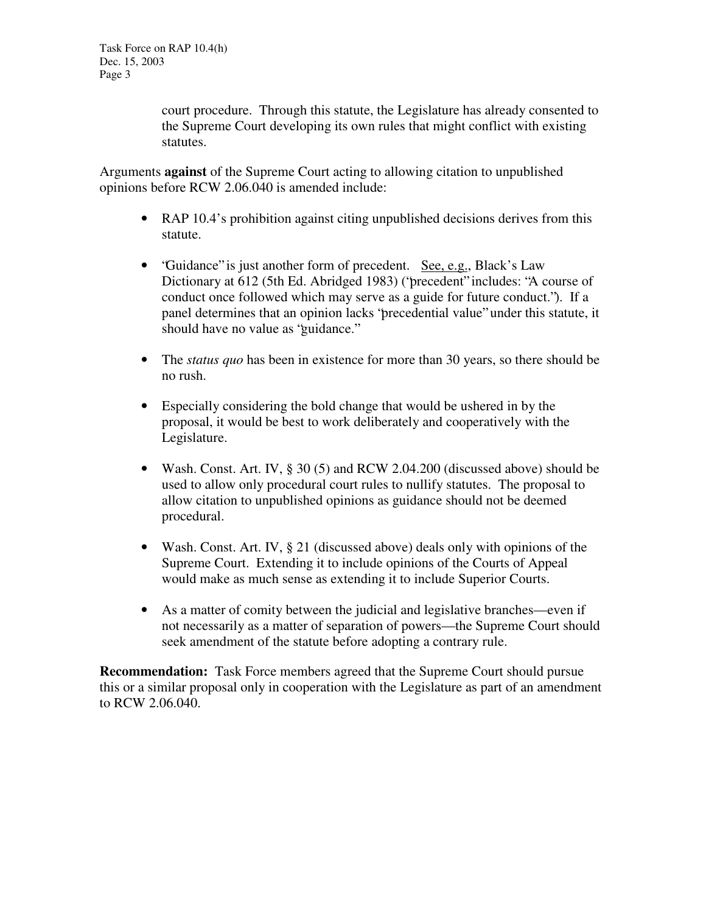court procedure. Through this statute, the Legislature has already consented to the Supreme Court developing its own rules that might conflict with existing statutes.

Arguments **against** of the Supreme Court acting to allowing citation to unpublished opinions before RCW 2.06.040 is amended include:

- RAP 10.4's prohibition against citing unpublished decisions derives from this statute.
- "Guidance" is just another form of precedent. See, e.g., Black's Law Dictionary at 612 (5th Ed. Abridged 1983) ("precedent" includes: "A course of conduct once followed which may serve as a guide for future conduct."). If a panel determines that an opinion lacks "precedential value" under this statute, it should have no value as "guidance."
- The *status quo* has been in existence for more than 30 years, so there should be no rush.
- Especially considering the bold change that would be ushered in by the proposal, it would be best to work deliberately and cooperatively with the Legislature.
- Wash. Const. Art. IV, § 30 (5) and RCW 2.04.200 (discussed above) should be used to allow only procedural court rules to nullify statutes. The proposal to allow citation to unpublished opinions as guidance should not be deemed procedural.
- Wash. Const. Art. IV, § 21 (discussed above) deals only with opinions of the Supreme Court. Extending it to include opinions of the Courts of Appeal would make as much sense as extending it to include Superior Courts.
- As a matter of comity between the judicial and legislative branches—even if not necessarily as a matter of separation of powers—the Supreme Court should seek amendment of the statute before adopting a contrary rule.

**Recommendation:** Task Force members agreed that the Supreme Court should pursue this or a similar proposal only in cooperation with the Legislature as part of an amendment to RCW 2.06.040.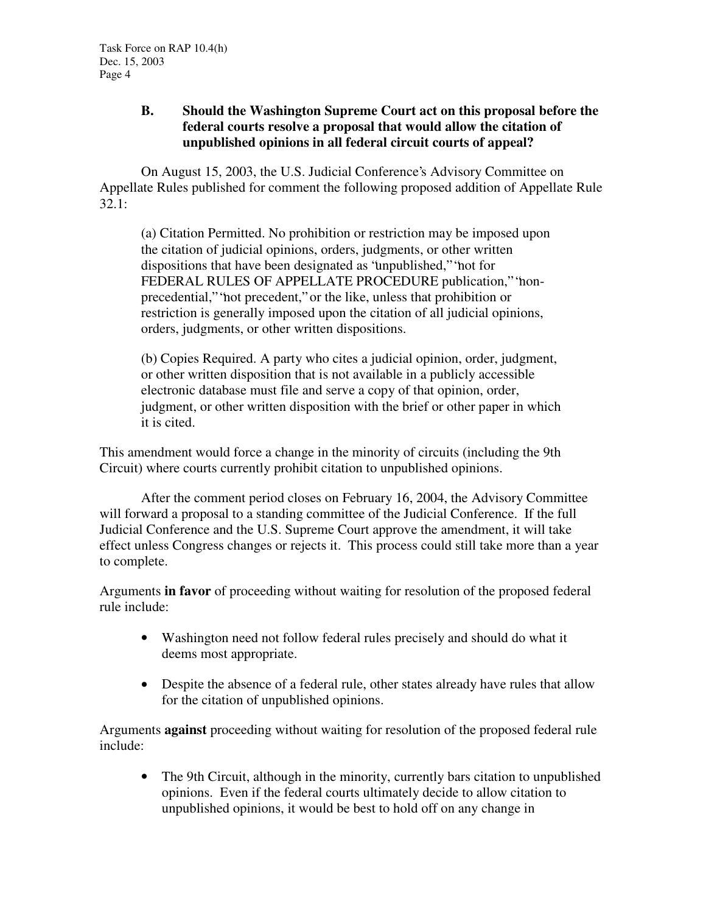## **B. Should the Washington Supreme Court act on this proposal before the federal courts resolve a proposal that would allow the citation of unpublished opinions in all federal circuit courts of appeal?**

On August 15, 2003, the U.S. Judicial Conference's Advisory Committee on Appellate Rules published for comment the following proposed addition of Appellate Rule 32.1:

(a) Citation Permitted. No prohibition or restriction may be imposed upon the citation of judicial opinions, orders, judgments, or other written dispositions that have been designated as "unpublished," "not for FEDERAL RULES OF APPELLATE PROCEDURE publication," "nonprecedential," "not precedent," or the like, unless that prohibition or restriction is generally imposed upon the citation of all judicial opinions, orders, judgments, or other written dispositions.

(b) Copies Required. A party who cites a judicial opinion, order, judgment, or other written disposition that is not available in a publicly accessible electronic database must file and serve a copy of that opinion, order, judgment, or other written disposition with the brief or other paper in which it is cited.

This amendment would force a change in the minority of circuits (including the 9th Circuit) where courts currently prohibit citation to unpublished opinions.

After the comment period closes on February 16, 2004, the Advisory Committee will forward a proposal to a standing committee of the Judicial Conference. If the full Judicial Conference and the U.S. Supreme Court approve the amendment, it will take effect unless Congress changes or rejects it. This process could still take more than a year to complete.

Arguments **in favor** of proceeding without waiting for resolution of the proposed federal rule include:

- Washington need not follow federal rules precisely and should do what it deems most appropriate.
- Despite the absence of a federal rule, other states already have rules that allow for the citation of unpublished opinions.

Arguments **against** proceeding without waiting for resolution of the proposed federal rule include:

• The 9th Circuit, although in the minority, currently bars citation to unpublished opinions. Even if the federal courts ultimately decide to allow citation to unpublished opinions, it would be best to hold off on any change in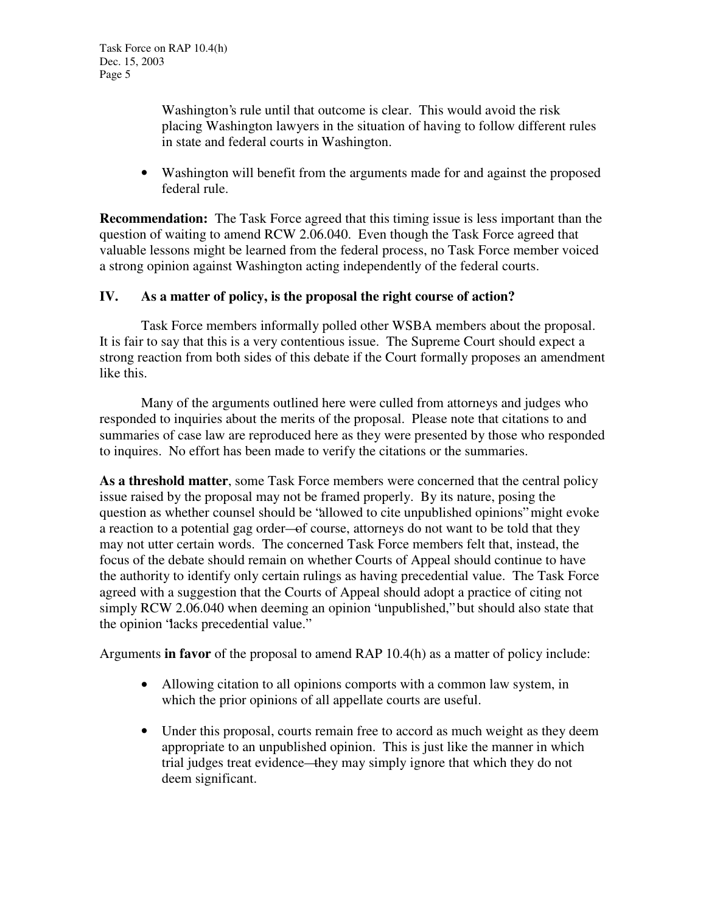Washington's rule until that outcome is clear. This would avoid the risk placing Washington lawyers in the situation of having to follow different rules in state and federal courts in Washington.

• Washington will benefit from the arguments made for and against the proposed federal rule.

**Recommendation:** The Task Force agreed that this timing issue is less important than the question of waiting to amend RCW 2.06.040. Even though the Task Force agreed that valuable lessons might be learned from the federal process, no Task Force member voiced a strong opinion against Washington acting independently of the federal courts.

### **IV. As a matter of policy, is the proposal the right course of action?**

Task Force members informally polled other WSBA members about the proposal. It is fair to say that this is a very contentious issue. The Supreme Court should expect a strong reaction from both sides of this debate if the Court formally proposes an amendment like this.

Many of the arguments outlined here were culled from attorneys and judges who responded to inquiries about the merits of the proposal. Please note that citations to and summaries of case law are reproduced here as they were presented by those who responded to inquires. No effort has been made to verify the citations or the summaries.

**As a threshold matter**, some Task Force members were concerned that the central policy issue raised by the proposal may not be framed properly. By its nature, posing the question as whether counsel should be "allowed to cite unpublished opinions" might evoke a reaction to a potential gag order—of course, attorneys do not want to be told that they may not utter certain words. The concerned Task Force members felt that, instead, the focus of the debate should remain on whether Courts of Appeal should continue to have the authority to identify only certain rulings as having precedential value. The Task Force agreed with a suggestion that the Courts of Appeal should adopt a practice of citing not simply RCW 2.06.040 when deeming an opinion "unpublished," but should also state that the opinion "lacks precedential value."

Arguments **in favor** of the proposal to amend RAP 10.4(h) as a matter of policy include:

- Allowing citation to all opinions comports with a common law system, in which the prior opinions of all appellate courts are useful.
- Under this proposal, courts remain free to accord as much weight as they deem appropriate to an unpublished opinion. This is just like the manner in which trial judges treat evidence—they may simply ignore that which they do not deem significant.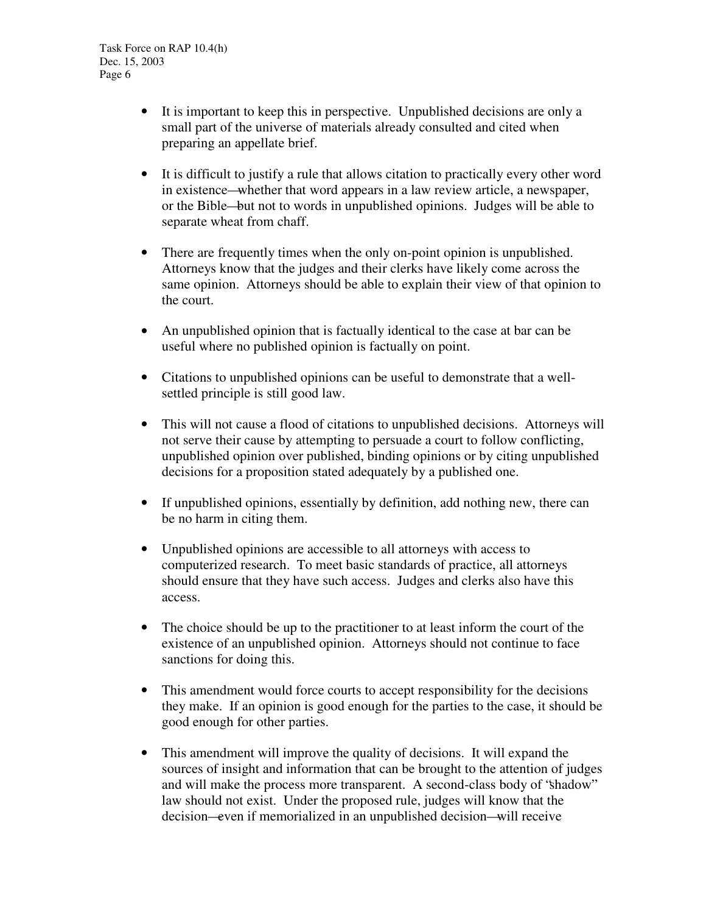- It is important to keep this in perspective. Unpublished decisions are only a small part of the universe of materials already consulted and cited when preparing an appellate brief.
- It is difficult to justify a rule that allows citation to practically every other word in existence—whether that word appears in a law review article, a newspaper, or the Bible—but not to words in unpublished opinions. Judges will be able to separate wheat from chaff.
- There are frequently times when the only on-point opinion is unpublished. Attorneys know that the judges and their clerks have likely come across the same opinion. Attorneys should be able to explain their view of that opinion to the court.
- An unpublished opinion that is factually identical to the case at bar can be useful where no published opinion is factually on point.
- Citations to unpublished opinions can be useful to demonstrate that a wellsettled principle is still good law.
- This will not cause a flood of citations to unpublished decisions. Attorneys will not serve their cause by attempting to persuade a court to follow conflicting, unpublished opinion over published, binding opinions or by citing unpublished decisions for a proposition stated adequately by a published one.
- If unpublished opinions, essentially by definition, add nothing new, there can be no harm in citing them.
- Unpublished opinions are accessible to all attorneys with access to computerized research. To meet basic standards of practice, all attorneys should ensure that they have such access. Judges and clerks also have this access.
- The choice should be up to the practitioner to at least inform the court of the existence of an unpublished opinion. Attorneys should not continue to face sanctions for doing this.
- This amendment would force courts to accept responsibility for the decisions they make. If an opinion is good enough for the parties to the case, it should be good enough for other parties.
- This amendment will improve the quality of decisions. It will expand the sources of insight and information that can be brought to the attention of judges and will make the process more transparent. A second-class body of "shadow" law should not exist. Under the proposed rule, judges will know that the decision—even if memorialized in an unpublished decision—will receive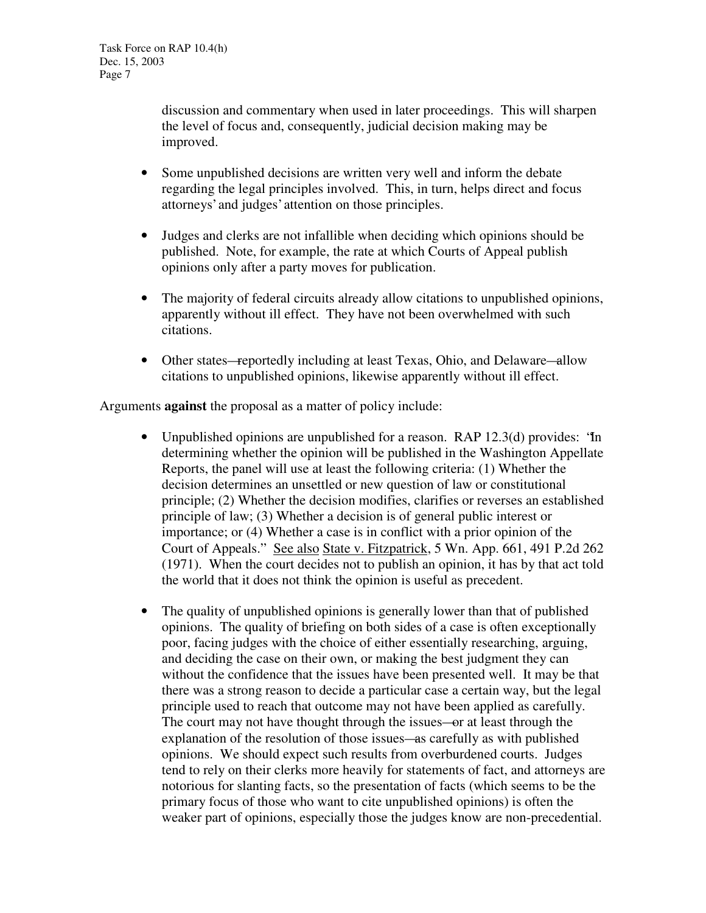discussion and commentary when used in later proceedings. This will sharpen the level of focus and, consequently, judicial decision making may be improved.

- Some unpublished decisions are written very well and inform the debate regarding the legal principles involved. This, in turn, helps direct and focus attorneys' and judges' attention on those principles.
- Judges and clerks are not infallible when deciding which opinions should be published. Note, for example, the rate at which Courts of Appeal publish opinions only after a party moves for publication.
- The majority of federal circuits already allow citations to unpublished opinions, apparently without ill effect. They have not been overwhelmed with such citations.
- Other states—reportedly including at least Texas, Ohio, and Delaware—allow citations to unpublished opinions, likewise apparently without ill effect.

Arguments **against** the proposal as a matter of policy include:

- Unpublished opinions are unpublished for a reason. RAP 12.3(d) provides: "In determining whether the opinion will be published in the Washington Appellate Reports, the panel will use at least the following criteria: (1) Whether the decision determines an unsettled or new question of law or constitutional principle; (2) Whether the decision modifies, clarifies or reverses an established principle of law; (3) Whether a decision is of general public interest or importance; or (4) Whether a case is in conflict with a prior opinion of the Court of Appeals." See also State v. Fitzpatrick, 5 Wn. App. 661, 491 P.2d 262 (1971). When the court decides not to publish an opinion, it has by that act told the world that it does not think the opinion is useful as precedent.
- The quality of unpublished opinions is generally lower than that of published opinions. The quality of briefing on both sides of a case is often exceptionally poor, facing judges with the choice of either essentially researching, arguing, and deciding the case on their own, or making the best judgment they can without the confidence that the issues have been presented well. It may be that there was a strong reason to decide a particular case a certain way, but the legal principle used to reach that outcome may not have been applied as carefully. The court may not have thought through the issues—or at least through the explanation of the resolution of those issues—as carefully as with published opinions. We should expect such results from overburdened courts. Judges tend to rely on their clerks more heavily for statements of fact, and attorneys are notorious for slanting facts, so the presentation of facts (which seems to be the primary focus of those who want to cite unpublished opinions) is often the weaker part of opinions, especially those the judges know are non-precedential.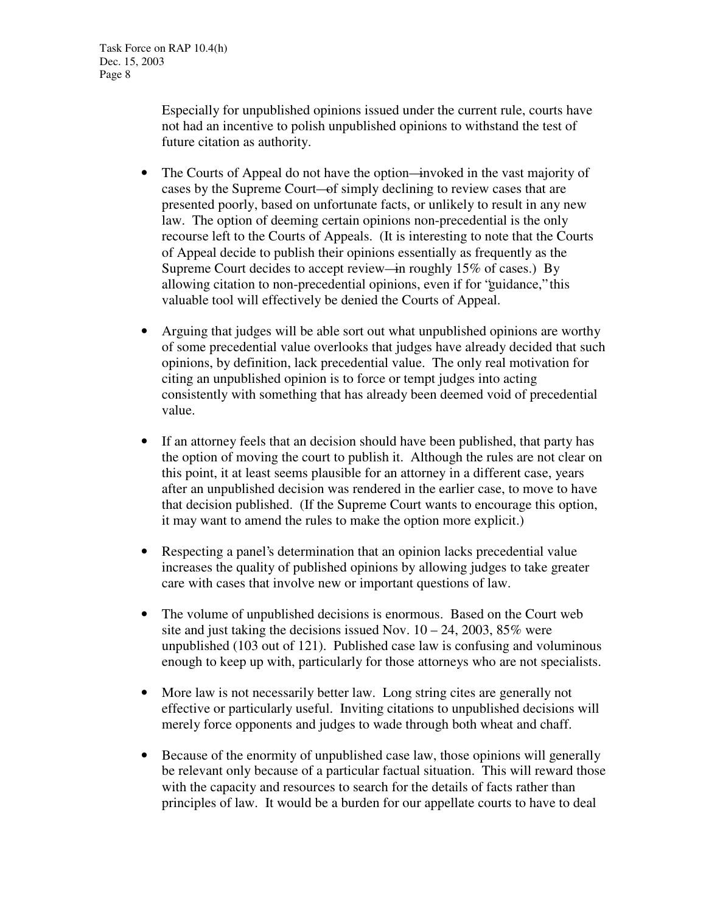Especially for unpublished opinions issued under the current rule, courts have not had an incentive to polish unpublished opinions to withstand the test of future citation as authority.

- The Courts of Appeal do not have the option—invoked in the vast majority of cases by the Supreme Court—of simply declining to review cases that are presented poorly, based on unfortunate facts, or unlikely to result in any new law. The option of deeming certain opinions non-precedential is the only recourse left to the Courts of Appeals. (It is interesting to note that the Courts of Appeal decide to publish their opinions essentially as frequently as the Supreme Court decides to accept review—in roughly 15% of cases.) By allowing citation to non-precedential opinions, even if for "guidance," this valuable tool will effectively be denied the Courts of Appeal.
- Arguing that judges will be able sort out what unpublished opinions are worthy of some precedential value overlooks that judges have already decided that such opinions, by definition, lack precedential value. The only real motivation for citing an unpublished opinion is to force or tempt judges into acting consistently with something that has already been deemed void of precedential value.
- If an attorney feels that an decision should have been published, that party has the option of moving the court to publish it. Although the rules are not clear on this point, it at least seems plausible for an attorney in a different case, years after an unpublished decision was rendered in the earlier case, to move to have that decision published. (If the Supreme Court wants to encourage this option, it may want to amend the rules to make the option more explicit.)
- Respecting a panel's determination that an opinion lacks precedential value increases the quality of published opinions by allowing judges to take greater care with cases that involve new or important questions of law.
- The volume of unpublished decisions is enormous. Based on the Court web site and just taking the decisions issued Nov.  $10 - 24$ , 2003, 85% were unpublished (103 out of 121). Published case law is confusing and voluminous enough to keep up with, particularly for those attorneys who are not specialists.
- More law is not necessarily better law. Long string cites are generally not effective or particularly useful. Inviting citations to unpublished decisions will merely force opponents and judges to wade through both wheat and chaff.
- Because of the enormity of unpublished case law, those opinions will generally be relevant only because of a particular factual situation. This will reward those with the capacity and resources to search for the details of facts rather than principles of law. It would be a burden for our appellate courts to have to deal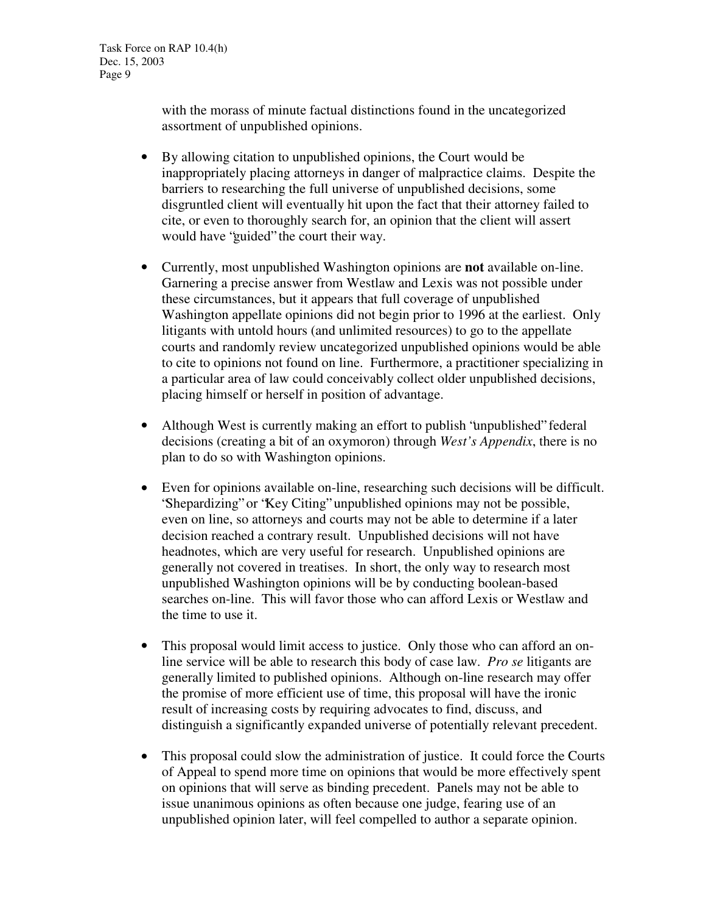with the morass of minute factual distinctions found in the uncategorized assortment of unpublished opinions.

- By allowing citation to unpublished opinions, the Court would be inappropriately placing attorneys in danger of malpractice claims. Despite the barriers to researching the full universe of unpublished decisions, some disgruntled client will eventually hit upon the fact that their attorney failed to cite, or even to thoroughly search for, an opinion that the client will assert would have "guided" the court their way.
- Currently, most unpublished Washington opinions are **not** available on-line. Garnering a precise answer from Westlaw and Lexis was not possible under these circumstances, but it appears that full coverage of unpublished Washington appellate opinions did not begin prior to 1996 at the earliest. Only litigants with untold hours (and unlimited resources) to go to the appellate courts and randomly review uncategorized unpublished opinions would be able to cite to opinions not found on line. Furthermore, a practitioner specializing in a particular area of law could conceivably collect older unpublished decisions, placing himself or herself in position of advantage.
- Although West is currently making an effort to publish "unpublished" federal decisions (creating a bit of an oxymoron) through *West's Appendix*, there is no plan to do so with Washington opinions.
- Even for opinions available on-line, researching such decisions will be difficult. "Shepardizing" or "Key Citing" unpublished opinions may not be possible, even on line, so attorneys and courts may not be able to determine if a later decision reached a contrary result. Unpublished decisions will not have headnotes, which are very useful for research. Unpublished opinions are generally not covered in treatises. In short, the only way to research most unpublished Washington opinions will be by conducting boolean-based searches on-line. This will favor those who can afford Lexis or Westlaw and the time to use it.
- This proposal would limit access to justice. Only those who can afford an online service will be able to research this body of case law. *Pro se* litigants are generally limited to published opinions. Although on-line research may offer the promise of more efficient use of time, this proposal will have the ironic result of increasing costs by requiring advocates to find, discuss, and distinguish a significantly expanded universe of potentially relevant precedent.
- This proposal could slow the administration of justice. It could force the Courts of Appeal to spend more time on opinions that would be more effectively spent on opinions that will serve as binding precedent. Panels may not be able to issue unanimous opinions as often because one judge, fearing use of an unpublished opinion later, will feel compelled to author a separate opinion.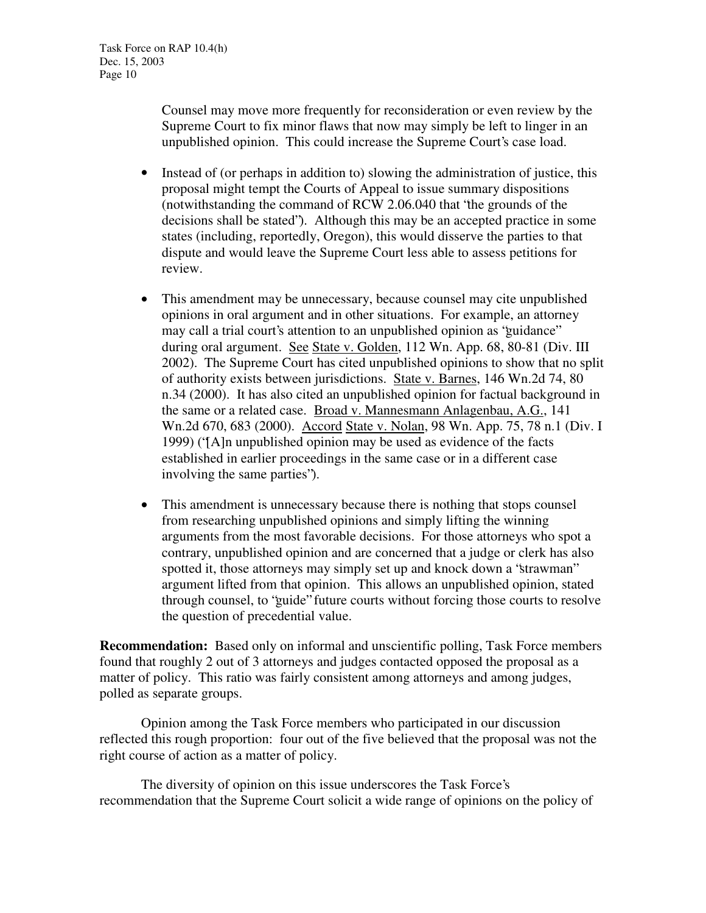Counsel may move more frequently for reconsideration or even review by the Supreme Court to fix minor flaws that now may simply be left to linger in an unpublished opinion. This could increase the Supreme Court's case load.

- Instead of (or perhaps in addition to) slowing the administration of justice, this proposal might tempt the Courts of Appeal to issue summary dispositions (notwithstanding the command of RCW 2.06.040 that "the grounds of the decisions shall be stated"). Although this may be an accepted practice in some states (including, reportedly, Oregon), this would disserve the parties to that dispute and would leave the Supreme Court less able to assess petitions for review.
- This amendment may be unnecessary, because counsel may cite unpublished opinions in oral argument and in other situations. For example, an attorney may call a trial court's attention to an unpublished opinion as "guidance" during oral argument. See State v. Golden, 112 Wn. App. 68, 80-81 (Div. III 2002). The Supreme Court has cited unpublished opinions to show that no split of authority exists between jurisdictions. State v. Barnes, 146 Wn.2d 74, 80 n.34 (2000). It has also cited an unpublished opinion for factual background in the same or a related case. Broad v. Mannesmann Anlagenbau, A.G., 141 Wn.2d 670, 683 (2000). Accord State v. Nolan, 98 Wn. App. 75, 78 n.1 (Div. I 1999) ("[A]n unpublished opinion may be used as evidence of the facts established in earlier proceedings in the same case or in a different case involving the same parties").
- This amendment is unnecessary because there is nothing that stops counsel from researching unpublished opinions and simply lifting the winning arguments from the most favorable decisions. For those attorneys who spot a contrary, unpublished opinion and are concerned that a judge or clerk has also spotted it, those attorneys may simply set up and knock down a "strawman" argument lifted from that opinion. This allows an unpublished opinion, stated through counsel, to "guide" future courts without forcing those courts to resolve the question of precedential value.

**Recommendation:** Based only on informal and unscientific polling, Task Force members found that roughly 2 out of 3 attorneys and judges contacted opposed the proposal as a matter of policy. This ratio was fairly consistent among attorneys and among judges, polled as separate groups.

Opinion among the Task Force members who participated in our discussion reflected this rough proportion: four out of the five believed that the proposal was not the right course of action as a matter of policy.

The diversity of opinion on this issue underscores the Task Force's recommendation that the Supreme Court solicit a wide range of opinions on the policy of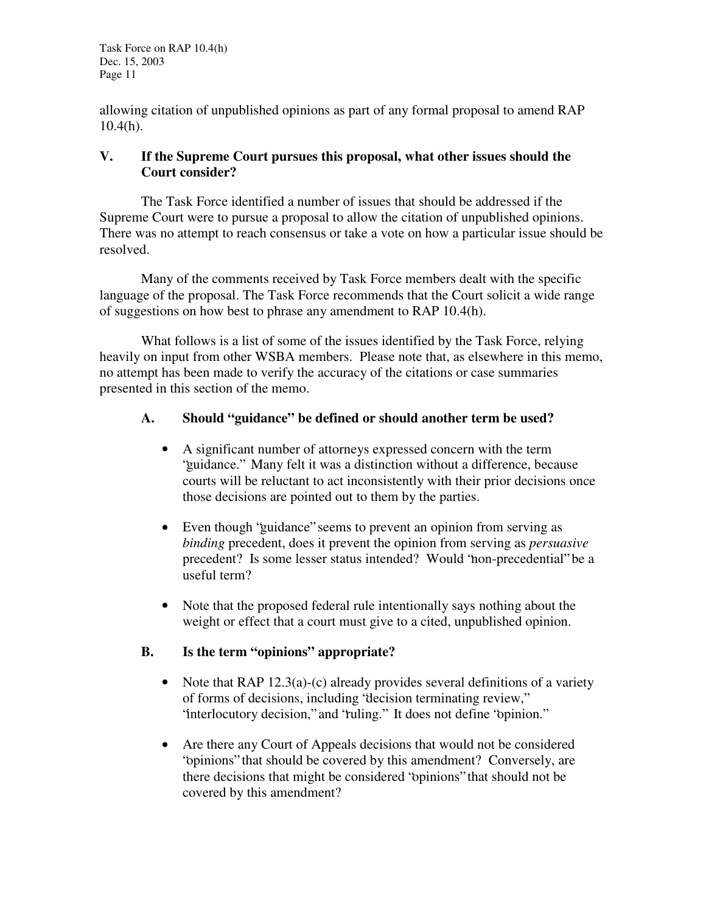Task Force on RAP 10.4(h) Dec. 15, 2003 Page 11

allowing citation of unpublished opinions as part of any formal proposal to amend RAP 10.4(h).

### **V. If the Supreme Court pursues this proposal, what other issues should the Court consider?**

The Task Force identified a number of issues that should be addressed if the Supreme Court were to pursue a proposal to allow the citation of unpublished opinions. There was no attempt to reach consensus or take a vote on how a particular issue should be resolved.

Many of the comments received by Task Force members dealt with the specific language of the proposal. The Task Force recommends that the Court solicit a wide range of suggestions on how best to phrase any amendment to RAP 10.4(h).

What follows is a list of some of the issues identified by the Task Force, relying heavily on input from other WSBA members. Please note that, as elsewhere in this memo, no attempt has been made to verify the accuracy of the citations or case summaries presented in this section of the memo.

### **A. Should "guidance" be defined or should another term be used?**

- A significant number of attorneys expressed concern with the term "guidance." Many felt it was a distinction without a difference, because courts will be reluctant to act inconsistently with their prior decisions once those decisions are pointed out to them by the parties.
- Even though "guidance" seems to prevent an opinion from serving as *binding* precedent, does it prevent the opinion from serving as *persuasive* precedent? Is some lesser status intended? Would "non-precedential" be a useful term?
- Note that the proposed federal rule intentionally says nothing about the weight or effect that a court must give to a cited, unpublished opinion.

# **B. Is the term "opinions" appropriate?**

- Note that  $RAP 12.3(a)-(c)$  already provides several definitions of a variety of forms of decisions, including "decision terminating review," "interlocutory decision," and "ruling." It does not define "opinion."
- Are there any Court of Appeals decisions that would not be considered "opinions" that should be covered by this amendment? Conversely, are there decisions that might be considered "opinions" that should not be covered by this amendment?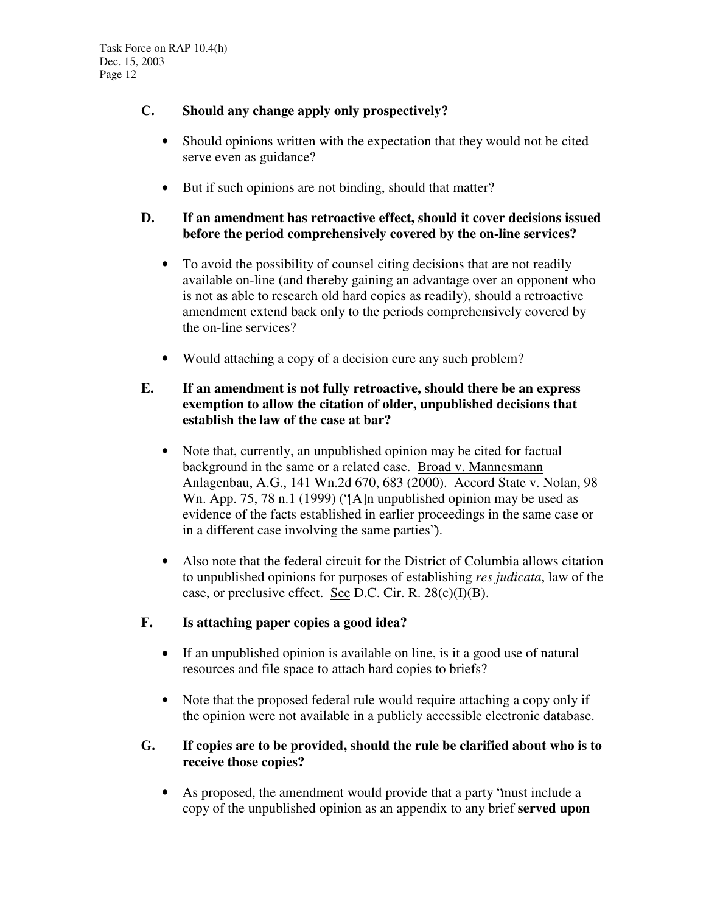# **C. Should any change apply only prospectively?**

- Should opinions written with the expectation that they would not be cited serve even as guidance?
- But if such opinions are not binding, should that matter?

# **D. If an amendment has retroactive effect, should it cover decisions issued before the period comprehensively covered by the on-line services?**

- To avoid the possibility of counsel citing decisions that are not readily available on-line (and thereby gaining an advantage over an opponent who is not as able to research old hard copies as readily), should a retroactive amendment extend back only to the periods comprehensively covered by the on-line services?
- Would attaching a copy of a decision cure any such problem?

# **E. If an amendment is not fully retroactive, should there be an express exemption to allow the citation of older, unpublished decisions that establish the law of the case at bar?**

- Note that, currently, an unpublished opinion may be cited for factual background in the same or a related case. Broad v. Mannesmann Anlagenbau, A.G., 141 Wn.2d 670, 683 (2000). Accord State v. Nolan, 98 Wn. App. 75, 78 n.1 (1999) ('[A]n unpublished opinion may be used as evidence of the facts established in earlier proceedings in the same case or in a different case involving the same parties").
- Also note that the federal circuit for the District of Columbia allows citation to unpublished opinions for purposes of establishing *res judicata*, law of the case, or preclusive effect. See D.C. Cir. R.  $28(c)(I)(B)$ .

# **F. Is attaching paper copies a good idea?**

- If an unpublished opinion is available on line, is it a good use of natural resources and file space to attach hard copies to briefs?
- Note that the proposed federal rule would require attaching a copy only if the opinion were not available in a publicly accessible electronic database.

### **G. If copies are to be provided, should the rule be clarified about who is to receive those copies?**

• As proposed, the amendment would provide that a party "must include a copy of the unpublished opinion as an appendix to any brief **served upon**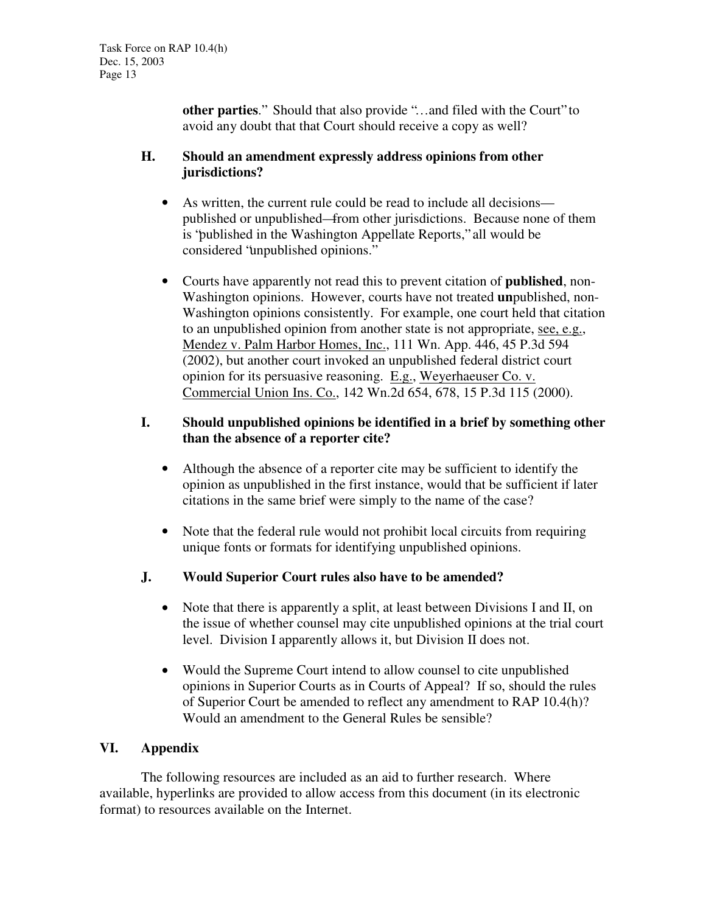**other parties**." Should that also provide "…and filed with the Court" to avoid any doubt that that Court should receive a copy as well?

### **H. Should an amendment expressly address opinions from other jurisdictions?**

- As written, the current rule could be read to include all decisions published or unpublished—from other jurisdictions. Because none of them is "published in the Washington Appellate Reports," all would be considered "unpublished opinions."
- Courts have apparently not read this to prevent citation of **published**, non-Washington opinions. However, courts have not treated **un**published, non-Washington opinions consistently. For example, one court held that citation to an unpublished opinion from another state is not appropriate, see, e.g., Mendez v. Palm Harbor Homes, Inc., 111 Wn. App. 446, 45 P.3d 594 (2002), but another court invoked an unpublished federal district court opinion for its persuasive reasoning. E.g., Weyerhaeuser Co. v. Commercial Union Ins. Co., 142 Wn.2d 654, 678, 15 P.3d 115 (2000).

## **I. Should unpublished opinions be identified in a brief by something other than the absence of a reporter cite?**

- Although the absence of a reporter cite may be sufficient to identify the opinion as unpublished in the first instance, would that be sufficient if later citations in the same brief were simply to the name of the case?
- Note that the federal rule would not prohibit local circuits from requiring unique fonts or formats for identifying unpublished opinions.
- **J. Would Superior Court rules also have to be amended?**
	- Note that there is apparently a split, at least between Divisions I and II, on the issue of whether counsel may cite unpublished opinions at the trial court level. Division I apparently allows it, but Division II does not.
	- Would the Supreme Court intend to allow counsel to cite unpublished opinions in Superior Courts as in Courts of Appeal? If so, should the rules of Superior Court be amended to reflect any amendment to RAP 10.4(h)? Would an amendment to the General Rules be sensible?

# **VI. Appendix**

The following resources are included as an aid to further research. Where available, hyperlinks are provided to allow access from this document (in its electronic format) to resources available on the Internet.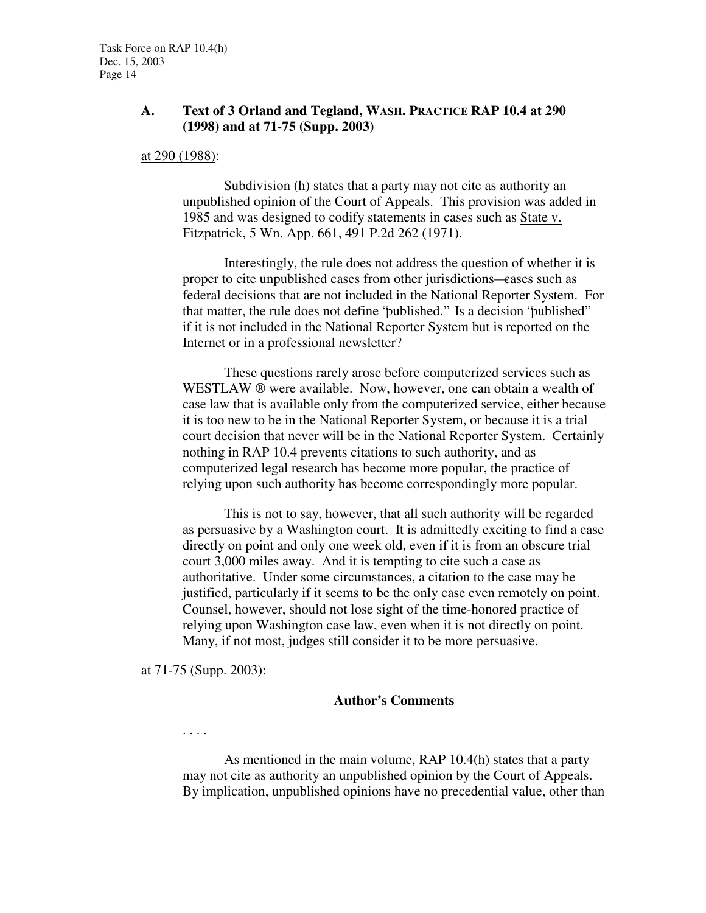### **A. Text of 3 Orland and Tegland, WASH. PRACTICE RAP 10.4 at 290 (1998) and at 71-75 (Supp. 2003)**

#### at 290 (1988):

Subdivision (h) states that a party may not cite as authority an unpublished opinion of the Court of Appeals. This provision was added in 1985 and was designed to codify statements in cases such as State v. Fitzpatrick, 5 Wn. App. 661, 491 P.2d 262 (1971).

Interestingly, the rule does not address the question of whether it is proper to cite unpublished cases from other jurisdictions—cases such as federal decisions that are not included in the National Reporter System. For that matter, the rule does not define "published." Is a decision "published" if it is not included in the National Reporter System but is reported on the Internet or in a professional newsletter?

These questions rarely arose before computerized services such as WESTLAW ® were available. Now, however, one can obtain a wealth of case law that is available only from the computerized service, either because it is too new to be in the National Reporter System, or because it is a trial court decision that never will be in the National Reporter System. Certainly nothing in RAP 10.4 prevents citations to such authority, and as computerized legal research has become more popular, the practice of relying upon such authority has become correspondingly more popular.

This is not to say, however, that all such authority will be regarded as persuasive by a Washington court. It is admittedly exciting to find a case directly on point and only one week old, even if it is from an obscure trial court 3,000 miles away. And it is tempting to cite such a case as authoritative. Under some circumstances, a citation to the case may be justified, particularly if it seems to be the only case even remotely on point. Counsel, however, should not lose sight of the time-honored practice of relying upon Washington case law, even when it is not directly on point. Many, if not most, judges still consider it to be more persuasive.

at 71-75 (Supp. 2003):

#### **Author's Comments**

. . . .

As mentioned in the main volume, RAP 10.4(h) states that a party may not cite as authority an unpublished opinion by the Court of Appeals. By implication, unpublished opinions have no precedential value, other than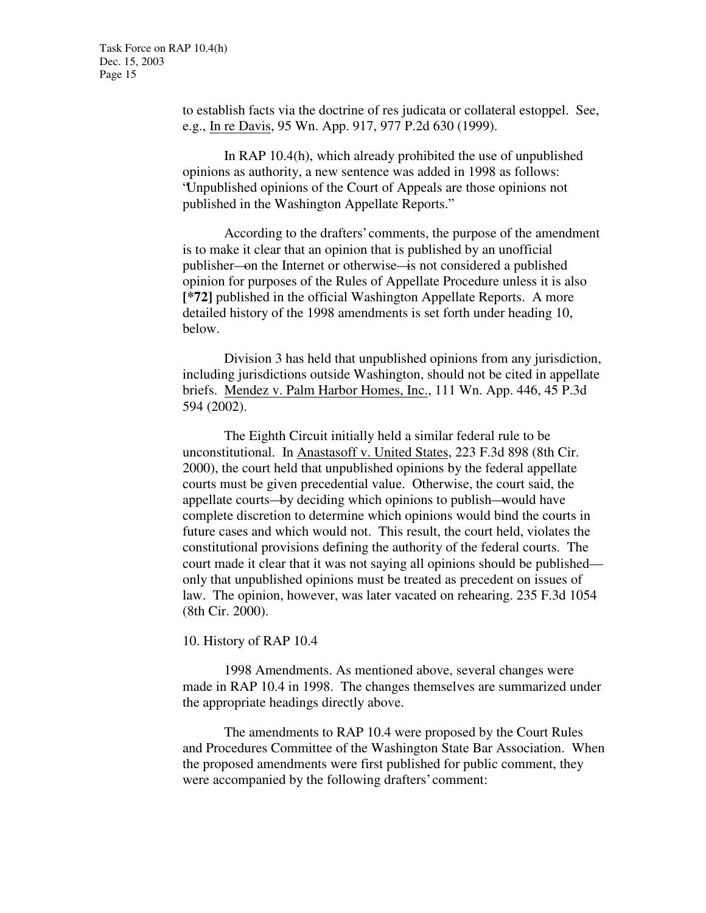to establish facts via the doctrine of res judicata or collateral estoppel. See, e.g., In re Davis, 95 Wn. App. 917, 977 P.2d 630 (1999).

In RAP 10.4(h), which already prohibited the use of unpublished opinions as authority, a new sentence was added in 1998 as follows: "Unpublished opinions of the Court of Appeals are those opinions not published in the Washington Appellate Reports."

According to the drafters' comments, the purpose of the amendment is to make it clear that an opinion that is published by an unofficial publisher—on the Internet or otherwise—is not considered a published opinion for purposes of the Rules of Appellate Procedure unless it is also **[\*72]** published in the official Washington Appellate Reports. A more detailed history of the 1998 amendments is set forth under heading 10, below.

Division 3 has held that unpublished opinions from any jurisdiction, including jurisdictions outside Washington, should not be cited in appellate briefs. Mendez v. Palm Harbor Homes, Inc., 111 Wn. App. 446, 45 P.3d 594 (2002).

The Eighth Circuit initially held a similar federal rule to be unconstitutional. In Anastasoff v. United States, 223 F.3d 898 (8th Cir. 2000), the court held that unpublished opinions by the federal appellate courts must be given precedential value. Otherwise, the court said, the appellate courts—by deciding which opinions to publish—would have complete discretion to determine which opinions would bind the courts in future cases and which would not. This result, the court held, violates the constitutional provisions defining the authority of the federal courts. The court made it clear that it was not saying all opinions should be published only that unpublished opinions must be treated as precedent on issues of law. The opinion, however, was later vacated on rehearing. 235 F.3d 1054 (8th Cir. 2000).

10. History of RAP 10.4

1998 Amendments. As mentioned above, several changes were made in RAP 10.4 in 1998. The changes themselves are summarized under the appropriate headings directly above.

The amendments to RAP 10.4 were proposed by the Court Rules and Procedures Committee of the Washington State Bar Association. When the proposed amendments were first published for public comment, they were accompanied by the following drafters' comment: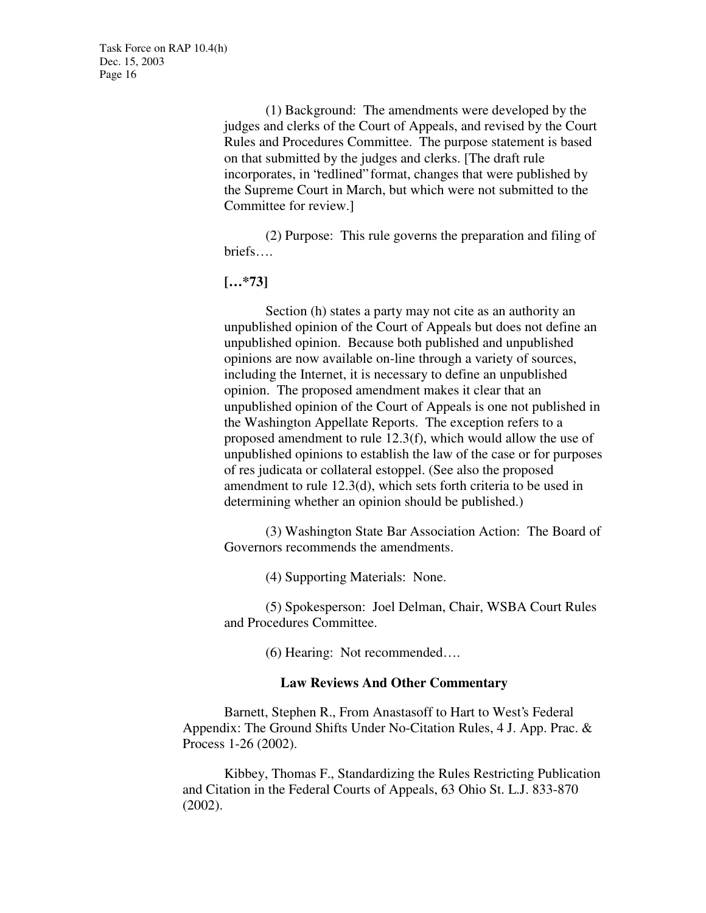(1) Background: The amendments were developed by the judges and clerks of the Court of Appeals, and revised by the Court Rules and Procedures Committee. The purpose statement is based on that submitted by the judges and clerks. [The draft rule incorporates, in "redlined" format, changes that were published by the Supreme Court in March, but which were not submitted to the Committee for review.]

(2) Purpose: This rule governs the preparation and filing of briefs….

**[…\*73]**

Section (h) states a party may not cite as an authority an unpublished opinion of the Court of Appeals but does not define an unpublished opinion. Because both published and unpublished opinions are now available on-line through a variety of sources, including the Internet, it is necessary to define an unpublished opinion. The proposed amendment makes it clear that an unpublished opinion of the Court of Appeals is one not published in the Washington Appellate Reports. The exception refers to a proposed amendment to rule 12.3(f), which would allow the use of unpublished opinions to establish the law of the case or for purposes of res judicata or collateral estoppel. (See also the proposed amendment to rule 12.3(d), which sets forth criteria to be used in determining whether an opinion should be published.)

(3) Washington State Bar Association Action: The Board of Governors recommends the amendments.

(4) Supporting Materials: None.

(5) Spokesperson: Joel Delman, Chair, WSBA Court Rules and Procedures Committee.

(6) Hearing: Not recommended….

#### **Law Reviews And Other Commentary**

Barnett, Stephen R., From Anastasoff to Hart to West's Federal Appendix: The Ground Shifts Under No-Citation Rules, 4 J. App. Prac. & Process 1-26 (2002).

Kibbey, Thomas F., Standardizing the Rules Restricting Publication and Citation in the Federal Courts of Appeals, 63 Ohio St. L.J. 833-870 (2002).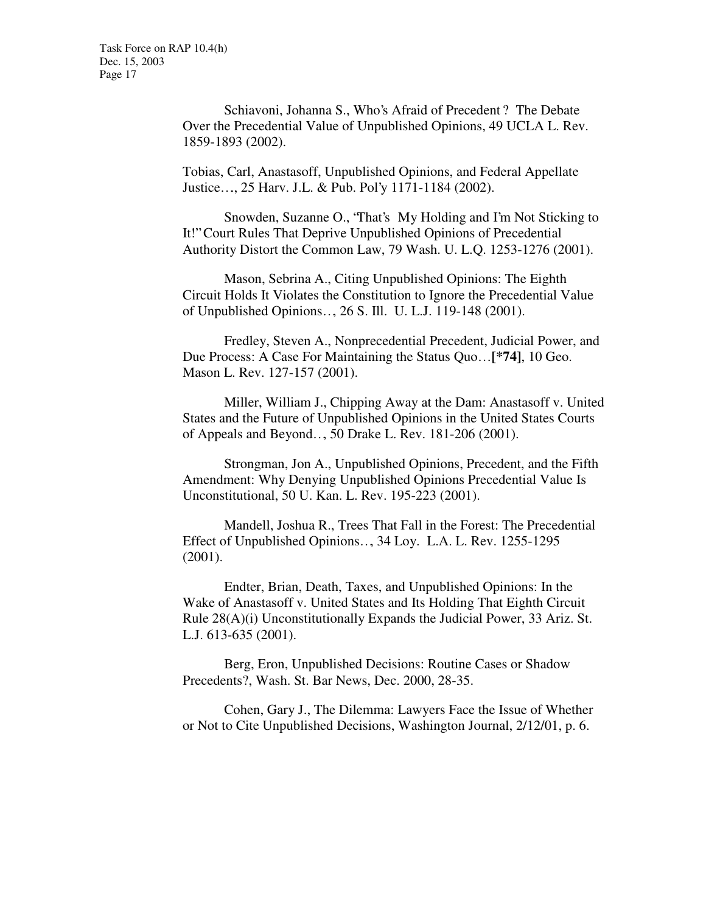Schiavoni, Johanna S., Who's Afraid of Precedent ? The Debate Over the Precedential Value of Unpublished Opinions, 49 UCLA L. Rev. 1859-1893 (2002).

Tobias, Carl, Anastasoff, Unpublished Opinions, and Federal Appellate Justice…., 25 Harv. J.L. & Pub. Pol'y 1171-1184 (2002).

Snowden, Suzanne O., "That's My Holding and I'm Not Sticking to It!" Court Rules That Deprive Unpublished Opinions of Precedential Authority Distort the Common Law, 79 Wash. U. L.Q. 1253-1276 (2001).

Mason, Sebrina A., Citing Unpublished Opinions: The Eighth Circuit Holds It Violates the Constitution to Ignore the Precedential Value of Unpublished Opinions…, 26 S. Ill. U. L.J. 119-148 (2001).

Fredley, Steven A., Nonprecedential Precedent, Judicial Power, and Due Process: A Case For Maintaining the Status Quo… **[\*74]**, 10 Geo. Mason L. Rev. 127-157 (2001).

Miller, William J., Chipping Away at the Dam: Anastasoff v. United States and the Future of Unpublished Opinions in the United States Courts of Appeals and Beyond…, 50 Drake L. Rev. 181-206 (2001).

Strongman, Jon A., Unpublished Opinions, Precedent, and the Fifth Amendment: Why Denying Unpublished Opinions Precedential Value Is Unconstitutional, 50 U. Kan. L. Rev. 195-223 (2001).

Mandell, Joshua R., Trees That Fall in the Forest: The Precedential Effect of Unpublished Opinions…, 34 Loy. L.A. L. Rev. 1255-1295 (2001).

Endter, Brian, Death, Taxes, and Unpublished Opinions: In the Wake of Anastasoff v. United States and Its Holding That Eighth Circuit Rule 28(A)(i) Unconstitutionally Expands the Judicial Power, 33 Ariz. St. L.J. 613-635 (2001).

Berg, Eron, Unpublished Decisions: Routine Cases or Shadow Precedents?, Wash. St. Bar News, Dec. 2000, 28-35.

Cohen, Gary J., The Dilemma: Lawyers Face the Issue of Whether or Not to Cite Unpublished Decisions, Washington Journal, 2/12/01, p. 6.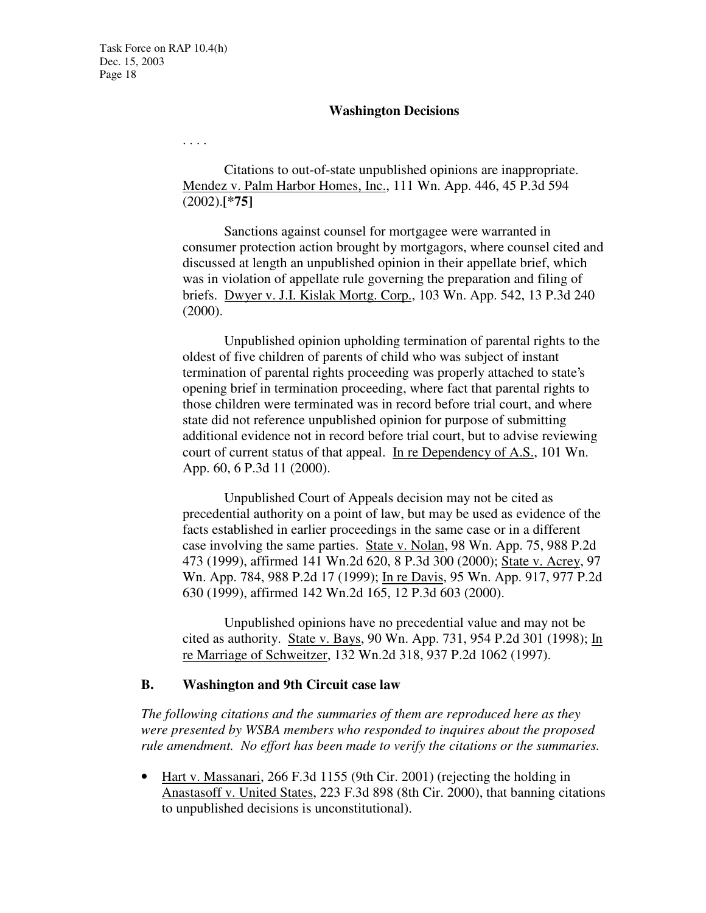#### **Washington Decisions**

. . . .

Citations to out-of-state unpublished opinions are inappropriate. Mendez v. Palm Harbor Homes, Inc., 111 Wn. App. 446, 45 P.3d 594 (2002).**[\*75]**

Sanctions against counsel for mortgagee were warranted in consumer protection action brought by mortgagors, where counsel cited and discussed at length an unpublished opinion in their appellate brief, which was in violation of appellate rule governing the preparation and filing of briefs. Dwyer v. J.I. Kislak Mortg. Corp., 103 Wn. App. 542, 13 P.3d 240 (2000).

Unpublished opinion upholding termination of parental rights to the oldest of five children of parents of child who was subject of instant termination of parental rights proceeding was properly attached to state's opening brief in termination proceeding, where fact that parental rights to those children were terminated was in record before trial court, and where state did not reference unpublished opinion for purpose of submitting additional evidence not in record before trial court, but to advise reviewing court of current status of that appeal. In re Dependency of A.S., 101 Wn. App. 60, 6 P.3d 11 (2000).

Unpublished Court of Appeals decision may not be cited as precedential authority on a point of law, but may be used as evidence of the facts established in earlier proceedings in the same case or in a different case involving the same parties. State v. Nolan, 98 Wn. App. 75, 988 P.2d 473 (1999), affirmed 141 Wn.2d 620, 8 P.3d 300 (2000); State v. Acrey, 97 Wn. App. 784, 988 P.2d 17 (1999); In re Davis, 95 Wn. App. 917, 977 P.2d 630 (1999), affirmed 142 Wn.2d 165, 12 P.3d 603 (2000).

Unpublished opinions have no precedential value and may not be cited as authority. State v. Bays, 90 Wn. App. 731, 954 P.2d 301 (1998); In re Marriage of Schweitzer, 132 Wn.2d 318, 937 P.2d 1062 (1997).

#### **B. Washington and 9th Circuit case law**

*The following citations and the summaries of them are reproduced here as they were presented by WSBA members who responded to inquires about the proposed rule amendment. No effort has been made to verify the citations or the summaries.*

• Hart v. Massanari, 266 F.3d 1155 (9th Cir. 2001) (rejecting the holding in Anastasoff v. United States, 223 F.3d 898 (8th Cir. 2000), that banning citations to unpublished decisions is unconstitutional).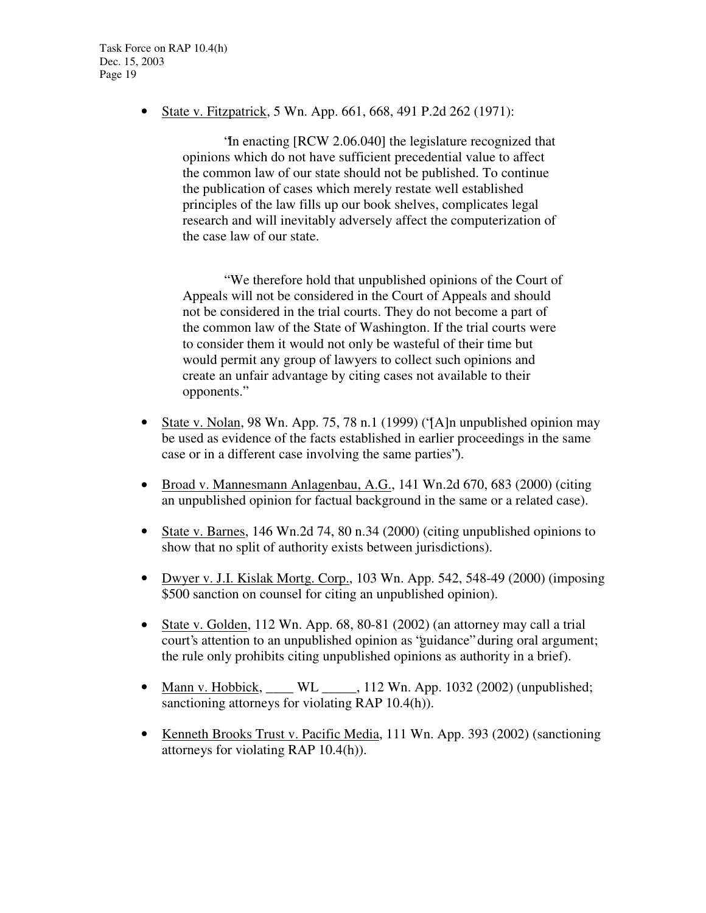• State v. Fitzpatrick, 5 Wn. App. 661, 668, 491 P.2d 262 (1971):

"In enacting [RCW 2.06.040] the legislature recognized that opinions which do not have sufficient precedential value to affect the common law of our state should not be published. To continue the publication of cases which merely restate well established principles of the law fills up our book shelves, complicates legal research and will inevitably adversely affect the computerization of the case law of our state.

" We therefore hold that unpublished opinions of the Court of Appeals will not be considered in the Court of Appeals and should not be considered in the trial courts. They do not become a part of the common law of the State of Washington. If the trial courts were to consider them it would not only be wasteful of their time but would permit any group of lawyers to collect such opinions and create an unfair advantage by citing cases not available to their opponents."

- State v. Nolan, 98 Wn. App. 75, 78 n.1 (1999) ('[A]n unpublished opinion may be used as evidence of the facts established in earlier proceedings in the same case or in a different case involving the same parties").
- Broad v. Mannesmann Anlagenbau, A.G., 141 Wn.2d 670, 683 (2000) (citing an unpublished opinion for factual background in the same or a related case).
- State v. Barnes, 146 Wn.2d 74, 80 n.34 (2000) (citing unpublished opinions to show that no split of authority exists between jurisdictions).
- Dwyer v. J.I. Kislak Mortg. Corp., 103 Wn. App. 542, 548-49 (2000) (imposing \$500 sanction on counsel for citing an unpublished opinion).
- State v. Golden, 112 Wn. App. 68, 80-81 (2002) (an attorney may call a trial court's attention to an unpublished opinion as "guidance" during oral argument; the rule only prohibits citing unpublished opinions as authority in a brief).
- Mann v. Hobbick, WL \_\_\_\_, 112 Wn. App. 1032 (2002) (unpublished; sanctioning attorneys for violating RAP 10.4(h)).
- Kenneth Brooks Trust v. Pacific Media, 111 Wn. App. 393 (2002) (sanctioning attorneys for violating RAP 10.4(h)).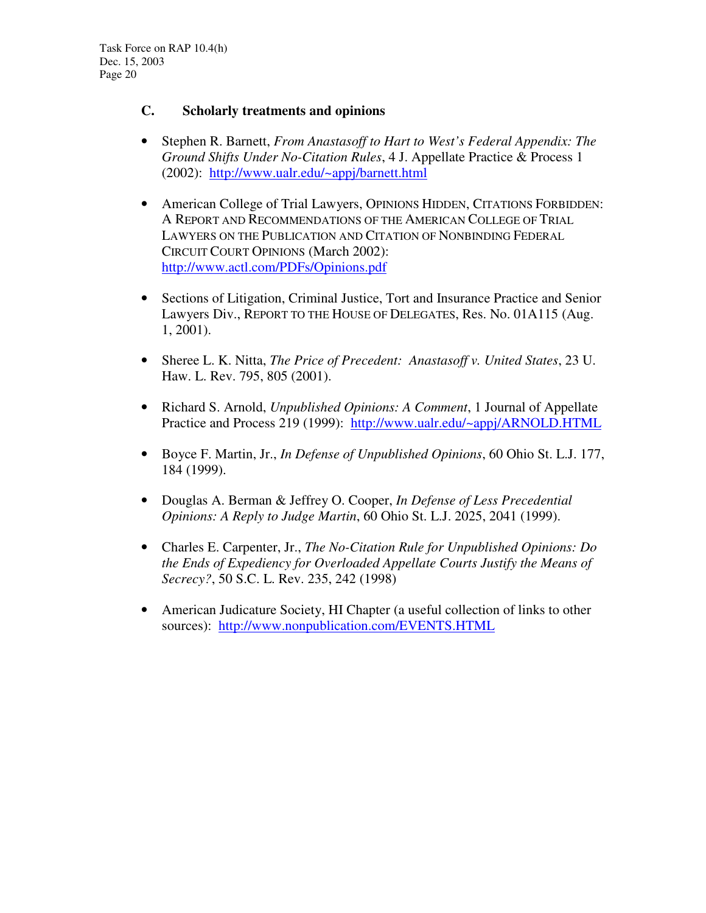# **C. Scholarly treatments and opinions**

- Stephen R. Barnett, *From Anastasoff to Hart to West's Federal Appendix: The Ground Shifts Under No-Citation Rules*, 4 J. Appellate Practice & Process 1 (2002): http://www.ualr.edu/~appj/barnett.html
- American College of Trial Lawyers, OPINIONS HIDDEN, CITATIONS FORBIDDEN: A REPORT AND RECOMMENDATIONS OF THE AMERICAN COLLEGE OF TRIAL LAWYERS ON THE PUBLICATION AND CITATION OF NONBINDING FEDERAL CIRCUIT COURT OPINIONS (March 2002): http://www.actl.com/PDFs/Opinions.pdf
- Sections of Litigation, Criminal Justice, Tort and Insurance Practice and Senior Lawyers Div., REPORT TO THE HOUSE OF DELEGATES, Res. No. 01A115 (Aug. 1, 2001).
- Sheree L. K. Nitta, *The Price of Precedent: Anastasoff v. United States*, 23 U. Haw. L. Rev. 795, 805 (2001).
- Richard S. Arnold, *Unpublished Opinions: A Comment*, 1 Journal of Appellate Practice and Process 219 (1999): http://www.ualr.edu/~appj/ARNOLD.HTML
- Boyce F. Martin, Jr., *In Defense of Unpublished Opinions*, 60 Ohio St. L.J. 177, 184 (1999).
- Douglas A. Berman & Jeffrey O. Cooper, *In Defense of Less Precedential Opinions: A Reply to Judge Martin*, 60 Ohio St. L.J. 2025, 2041 (1999).
- Charles E. Carpenter, Jr., *The No-Citation Rule for Unpublished Opinions: Do the Ends of Expediency for Overloaded Appellate Courts Justify the Means of Secrecy?*, 50 S.C. L. Rev. 235, 242 (1998)
- American Judicature Society, HI Chapter (a useful collection of links to other sources): http://www.nonpublication.com/EVENTS.HTML